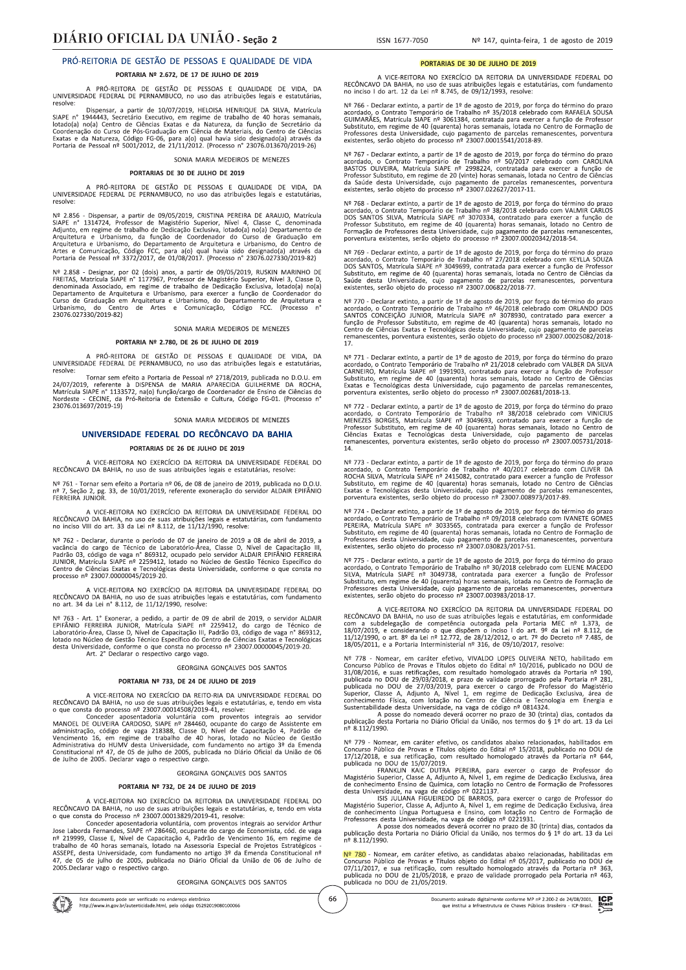A PRÓ-REITORA DE GESTÃO DE PESSOAS E QUALIDADE DE VIDA, DA<br>UNIVERSIDADE FEDERAL DE PERNAMBUCO, no uso das atribuições legais e estatutárias DA

Dispensar, a partir de 10/07/2019, HELOISA HENRIQUE DA SILVA, Matrícula SIAPE nº 1954043, Secretário Executivo, em regime de trabalho de 40 horas semanais, lotado(a) no(a) Centro de Ciências Exatas e da Natureza, da função de Secretário da Coordenação do Curso de Pós-Graduação em Ciências Exa

### SONIA MARIA MEDEIROS DE MENEZES

#### PORTARIAS DE 30 DE JULHO DE 2019

A PRÓ-REITORA DE GESTÃO DE PESSOAS E QUALIDADE DE VIDA, DA<br>UNIVERSIDADE FEDERAL DE PERNAMBUCO, no uso das atribuições legais e estatutárias, resolve

Nº 2.856 - Dispensar, a partir de 09/05/2019, CRISTINA PEREIRA DE ARAUJO, Matrícula SIAPE nº 1314724, Professor de Magistério Superior, Nível 4, Classe C, denominada Adjunto, em regime de trabalho de Dedicação Exclusiva,

Nº 2.858 - Designar, por 02 (dois) anos, a partir de 09/05/2019, RUSENTAAS, Matrícula SIAPE n° 1177967, Professor de Magistério Superior, Nivel 3, Classe D, denominada Associado, em regime de trabalho de Dedicação Exclusiv

### SONIA MARIA MEDEIROS DE MENEZES

#### PORTARIA Nº 2.780, DE 26 DE JULHO DE 2019

A PRÓ-REITORA DE GESTÃO DE PESSOAS E QUALIDADE DE VIDA, DA<br>UNIVERSIDADE FEDERAL DE PERNAMBUCO, no uso das atribuições legais e estatutárias,

resolve:<br>
Tornar sem efeito a Portaria de Pessoal nº 2718/2019, publicada no D.O.U. em<br>
24/07/2019, referente à DISPENSA de MARIA APARECIDA GUILHERME DA ROCHA,<br>
Matrícula SIAPE nº 1133572, na(o) função/cargo de Coordenador 23076 013697/2019-19)

### SONIA MARIA MEDEIROS DE MENEZES

# UNIVERSIDADE FEDERAL DO RECÔNCAVO DA BAHIA

## PORTARIAS DE 26 DE JULHO DE 2019

A VICE-REITORA NO EXERCÍCIO DA REITORIA DA UNIVERSIDADE FEDERAL DO<br>RECÔNCAVO DA BAHIA, no uso de suas atribuições legais e estatutárias, resolve:

Nº 761 - Tornar sem efeito a Portaria nº 06, de 08 de janeiro de 2019, publicada no D.O.U.<br>nº 7, Seção 2, pg. 33, de 10/01/2019, referente exoneração do servidor ALDAIR EPIFÂNIO<br>FERREIRA JUNIOR.

A VICE-REITORA NO EXERCÍCIO DA REITORIA DA UNIVERSIDADE FEDERAL DO A VIC-TREITONA NO LOCALIZADO DE RECÔNCAVO DA BAHIA, no uso de suas atribuições legais e estaturo inciso VIII do art. 33 da Lei nº 8.112, de 11/12/1990, resolve: egais e estatutárias, com fundamento

Nº 762 - Declarar, durante o período de 07 de janeiro de 2019 a 08 de abril de 2019, a vacância do cargo de Técnico de Laboratório-Área, Classe D, Nível de Capacitação III, Padrão 03, código de vaga nº 869312, ocupado pelo

A VICE-REITORA NO EXERCÍCIO DA REITORIA DA UNIVERSIDADE EEDERAL DO RECÔNCAVO DA BAHIA, no uso de suas atribuições legais e estatutárias, com fundamento art. 34 da Lei nº 8.112, de 11/12/1990, resolve:

Nº 763 - Art. 1° Exonerar, a pedido, a partir de 09 de abril de 2019, o servidor ALDAIR<br>EPIFÂNIO FERREIRA JUNIOR, Matrícula SIAPE nº 2259412, do cargo de Técnico de<br>Laboratório-Área, Classe D, Nível de Capacitação III, Pa

#### GEORGINA GONCALVES DOS SANTOS

### PORTARIA Nº 733, DE 24 DE JULHO DE 2019

VICE-REITORA NO EXERCÍCIO DA REITO-RIA DA UNIVERSIDADE FEDERAL DO

A VICE-REITORA NO EXERCÍCIO DA REITO-RIA DA UNIVERSIDADE FEDERAL DO  $\alpha$  que consta do processo nº 23007.00014508/2019-41, resolve:<br>Conceder aposentadoria voluntária com proventos integrais ao servidor Conceder aposentado

GEORGINA GONCALVES DOS SANTOS

# PORTARIA Nº 732, DE 24 DE JULHO DE 2019

A VICE-REITORA NO EXERCÍCIO DA REITORIA DA UNIVERSIDADE FEDERAL DO<br>RECÔNCAVO DA BAHIA, no uso de suas atribuições legais e estatutárias, e, tendo em vista<br>o que consta do Processo nº 23007.00013829/2019-41, resolve:

o que consta o Processo nº 2300/J00013829/2019-41, resouve:<br>Conceder aposentadoria voluntária, com proventos integrais ao servidor Arthur<br>Jose Laborda Fernandes, SIAPE nº 286460, ocupante do cargo de Economista, cód. de v 2005. Declarar vago o respectivo cargo.

### GEORGINA GONCALVES DOS SANTOS

66

### PORTARIAS DE 30 DE ILILHO DE 2019

A VICE-REITORA NO EXERCÍCIO DA REITORIA DA UNIVERSIDADE FEDERAL DO<br>RECÔNCAVO DA BAHIA, no uso de suas atribuições legais e estatutárias, com fundamento<br>no inciso I do art. 12 da Lei nº 8.745, de 09/12/1993, resolve:

Nº 766 - Declarar extinto, a partir de 1º de agosto de 2019, por força do término do prazo acordado, o Contrato Temporário de Trabalho nº 35/2018 celebrado com RAFAELA SOUSA GUIMARÃES, Matrícula SIAPE nº 3061384, contrata

Nº 767 - Declarar extinto, a partir de 1º de agosto de 2019, por força do término do prazo acordado, o Contrato Temporário de Trabalho nº 50/2017 celebrado com CAROLINA<br>BASTOS OLIVEIRA, Matrícula SIAPE nº 2998224, contrat da Saúde desta Universidade, cujo pagamento de parcelas remanescentes, porventura<br>existentes, serão objeto do processo nº 23007.022627/2017-11.

Nº 768 - Declarar extinto, a partir de 1º de agosto de 2019, por força do término do prazo acordado, o Contrato Temporário de Trabalho nº 38/2018 celebrado com VALMIR CARLOS DOS SANTOS SILVA, Matrícula SIAPE nº 3070334, c

Nº 769 - Declarar extinto, a partir de 1º de agosto de 2019, por força do término do prazo acordado, o Contrato Temporário de Trabalho nº 27/2018 celebrado com KEYLLA SOUZA DOS SANTOS, Matrícula SIAPE nº 3049699, contrat

Nº 770 - Declarar extinto, a partir de 1º de agosto de 2019, por força do término do prazo acordado, o Contrato Temporário de Trabalho nº 46/2018 celebrado com ORLANDO DOS SANTOS CONCEIÇÃO JUNIOR, Matrícula SIAPE nº 30789

Nº 771 - Declarar extinto, a partir de 1º de agosto de 2019, por força do término do prazo acordado, o Contrato Temporário de Trabalho nº 21/2018 celebrado com VALBER DA SILVA CARNEIRO, Matrícula SIAPE nº 1991903, contra

 $N^{\circ}$  772 - Declarar extinto, a partir de 1º de agosto de 2019, por força do término do prazo acordado, o Contrato Temporário de Trabalho nº 38/2018 celebrado com VINICIUS MENEZES BORGES, Matricula SIAPE nº 3049693, con  $\frac{1}{14}$ 

Nº 773 - Declarar extinto, a partir de 1º de agosto de 2019, por força do término do prazo acordado, o Contrato Temporário de Trabalho nº 40/2017 celebrado com CLIVER DA ROCHA SILVA, Matrícula SIAPE nº 2415082, contratad

Nº 774 - Declarar extinto, a partir de 1º de agosto de 2019, por força do término do prazo acordado, o Contrato Temporário de Trabalho nº 09/2018 celebrado com IVANETE GOMES PEREIRA, Matrícula SIAPE nº 3033565, contratada

Nº 775 - Declarar extinto, a partir de 1º de agosto de 2019, por força do término do prazo acordado, o Contrato Temporário de Trabalho nº 30/2018 celebrado com ELIENE MACEDO SILVA, Matrícula SIAPE nº 3049738, contratada p

A VICE-REITORA NO EXERCÍCIO DA REITORIA DA UNIVERSIDADE FEDERAL DO A VICE-REILORA NO EXERCIO DA REILORIA DA UNIVERSIDADE FEDERAL DO<br>RECÔNCAVO DA BAHIA, no uso de suas atribuições legais e estatutárias, em conformidade<br>com a subdelegação de competência outorgada pela Portaria MEC nº 1.373

Nº 778 - Nomear, em caráter efetivo, VIVALDO LOPES OLIVEIA NETO, habilitado em Concurso Público de Provas e Títulos objeto do Edital nº 10/2016, publicado no DOU de 31/08/2016, e suas retificações, com resultado homologad

n- 0.112/1350.<br>
NP 779 - Nomear, em caráter efetivo, os candidatos abaixo relacionados, habilitados em<br>
NP 779 - Nomear, em caráter efetivo, os candidatos abaixo relacionados, habilitados em<br>
Concurso Público de Provas e

Nº 780 - Nomear, em caráter efetivo, as candidatas abaixo relacionadas, habilitadas em Concurso Público de Provas e Títulos objeto do Edital nº 05/2017, publicado no DOU de 07/1/2017, e sua retificação, com resultado homo